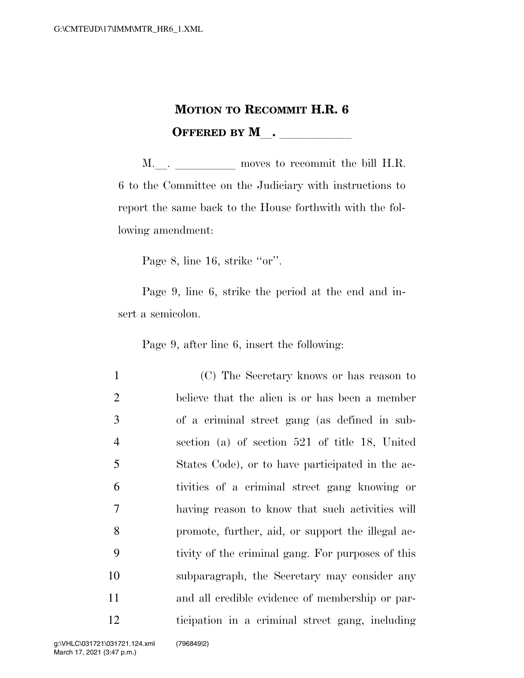## **MOTION TO RECOMMIT H.R. 6 OFFERED BY M** .

M. <u>J. moves</u> to recommit the bill H.R. 6 to the Committee on the Judiciary with instructions to report the same back to the House forthwith with the following amendment:

Page 8, line 16, strike "or".

Page 9, line 6, strike the period at the end and insert a semicolon.

Page 9, after line 6, insert the following:

 (C) The Secretary knows or has reason to believe that the alien is or has been a member of a criminal street gang (as defined in sub- section (a) of section 521 of title 18, United States Code), or to have participated in the ac- tivities of a criminal street gang knowing or having reason to know that such activities will promote, further, aid, or support the illegal ac- tivity of the criminal gang. For purposes of this subparagraph, the Secretary may consider any and all credible evidence of membership or par-ticipation in a criminal street gang, including